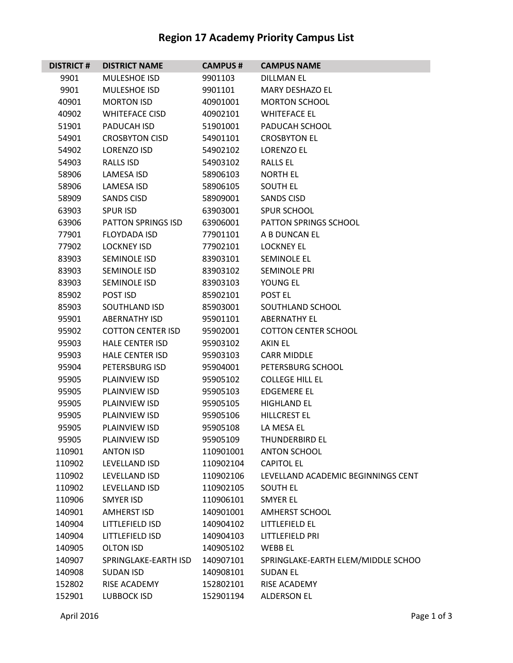## **Region 17 Academy Priority Campus List**

| <b>DISTRICT#</b> | <b>DISTRICT NAME</b>      | <b>CAMPUS#</b> | <b>CAMPUS NAME</b>                 |
|------------------|---------------------------|----------------|------------------------------------|
| 9901             | <b>MULESHOE ISD</b>       | 9901103        | <b>DILLMAN EL</b>                  |
| 9901             | MULESHOE ISD              | 9901101        | <b>MARY DESHAZO EL</b>             |
| 40901            | <b>MORTON ISD</b>         | 40901001       | <b>MORTON SCHOOL</b>               |
| 40902            | <b>WHITEFACE CISD</b>     | 40902101       | <b>WHITEFACE EL</b>                |
| 51901            | PADUCAH ISD               | 51901001       | PADUCAH SCHOOL                     |
| 54901            | <b>CROSBYTON CISD</b>     | 54901101       | <b>CROSBYTON EL</b>                |
| 54902            | <b>LORENZO ISD</b>        | 54902102       | <b>LORENZO EL</b>                  |
| 54903            | <b>RALLS ISD</b>          | 54903102       | <b>RALLS EL</b>                    |
| 58906            | LAMESA ISD                | 58906103       | <b>NORTH EL</b>                    |
| 58906            | LAMESA ISD                | 58906105       | <b>SOUTH EL</b>                    |
| 58909            | <b>SANDS CISD</b>         | 58909001       | SANDS CISD                         |
| 63903            | <b>SPUR ISD</b>           | 63903001       | SPUR SCHOOL                        |
| 63906            | <b>PATTON SPRINGS ISD</b> | 63906001       | PATTON SPRINGS SCHOOL              |
| 77901            | <b>FLOYDADA ISD</b>       | 77901101       | A B DUNCAN EL                      |
| 77902            | <b>LOCKNEY ISD</b>        | 77902101       | <b>LOCKNEY EL</b>                  |
| 83903            | SEMINOLE ISD              | 83903101       | <b>SEMINOLE EL</b>                 |
| 83903            | SEMINOLE ISD              | 83903102       | <b>SEMINOLE PRI</b>                |
| 83903            | <b>SEMINOLE ISD</b>       | 83903103       | YOUNG EL                           |
| 85902            | POST ISD                  | 85902101       | POST EL                            |
| 85903            | <b>SOUTHLAND ISD</b>      | 85903001       | SOUTHLAND SCHOOL                   |
| 95901            | <b>ABERNATHY ISD</b>      | 95901101       | <b>ABERNATHY EL</b>                |
| 95902            | <b>COTTON CENTER ISD</b>  | 95902001       | <b>COTTON CENTER SCHOOL</b>        |
| 95903            | <b>HALE CENTER ISD</b>    | 95903102       | <b>AKIN EL</b>                     |
| 95903            | <b>HALE CENTER ISD</b>    | 95903103       | <b>CARR MIDDLE</b>                 |
| 95904            | PETERSBURG ISD            | 95904001       | PETERSBURG SCHOOL                  |
| 95905            | <b>PLAINVIEW ISD</b>      | 95905102       | <b>COLLEGE HILL EL</b>             |
| 95905            | <b>PLAINVIEW ISD</b>      | 95905103       | <b>EDGEMERE EL</b>                 |
| 95905            | PLAINVIEW ISD             | 95905105       | <b>HIGHLAND EL</b>                 |
| 95905            | <b>PLAINVIEW ISD</b>      | 95905106       | <b>HILLCREST EL</b>                |
| 95905            | PLAINVIEW ISD             | 95905108       | LA MESA EL                         |
| 95905            | PLAINVIEW ISD             | 95905109       | <b>THUNDERBIRD EL</b>              |
| 110901           | <b>ANTON ISD</b>          | 110901001      | <b>ANTON SCHOOL</b>                |
| 110902           | LEVELLAND ISD             | 110902104      | <b>CAPITOL EL</b>                  |
| 110902           | LEVELLAND ISD             | 110902106      | LEVELLAND ACADEMIC BEGINNINGS CENT |
| 110902           | LEVELLAND ISD             | 110902105      | <b>SOUTH EL</b>                    |
| 110906           | <b>SMYER ISD</b>          | 110906101      | <b>SMYER EL</b>                    |
| 140901           | <b>AMHERST ISD</b>        | 140901001      | <b>AMHERST SCHOOL</b>              |
| 140904           | LITTLEFIELD ISD           | 140904102      | LITTLEFIELD EL                     |
| 140904           | LITTLEFIELD ISD           | 140904103      | LITTLEFIELD PRI                    |
| 140905           | <b>OLTON ISD</b>          | 140905102      | <b>WEBB EL</b>                     |
| 140907           | SPRINGLAKE-EARTH ISD      | 140907101      | SPRINGLAKE-EARTH ELEM/MIDDLE SCHOO |
| 140908           | <b>SUDAN ISD</b>          | 140908101      | <b>SUDAN EL</b>                    |
| 152802           | RISE ACADEMY              | 152802101      | RISE ACADEMY                       |
| 152901           | <b>LUBBOCK ISD</b>        | 152901194      | <b>ALDERSON EL</b>                 |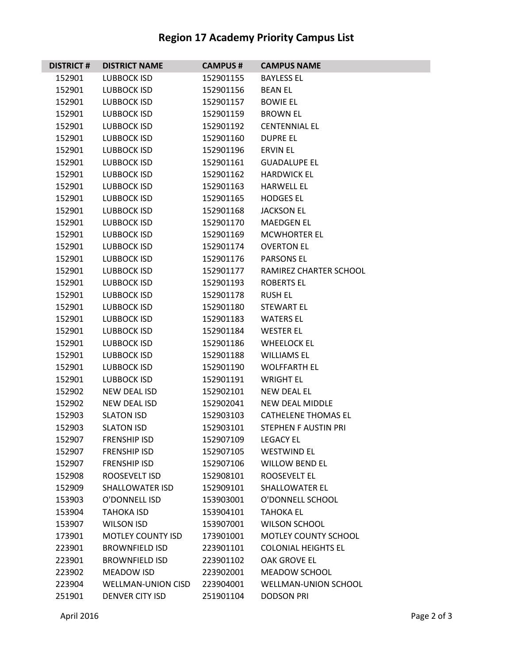## **Region 17 Academy Priority Campus List**

| <b>DISTRICT#</b>                                                                                                                                                                                                                             | <b>DISTRICT NAME</b>                                                                                                                                                                                                                                                                                                                                                                                                                                                                                                | <b>CAMPUS#</b>                                                                                                                                                                                                                                                                                                       | <b>CAMPUS NAME</b>                                                                                                                                                                                                                                                                                                                                                                                                                                                                                                                                              |
|----------------------------------------------------------------------------------------------------------------------------------------------------------------------------------------------------------------------------------------------|---------------------------------------------------------------------------------------------------------------------------------------------------------------------------------------------------------------------------------------------------------------------------------------------------------------------------------------------------------------------------------------------------------------------------------------------------------------------------------------------------------------------|----------------------------------------------------------------------------------------------------------------------------------------------------------------------------------------------------------------------------------------------------------------------------------------------------------------------|-----------------------------------------------------------------------------------------------------------------------------------------------------------------------------------------------------------------------------------------------------------------------------------------------------------------------------------------------------------------------------------------------------------------------------------------------------------------------------------------------------------------------------------------------------------------|
| 152901                                                                                                                                                                                                                                       | LUBBOCK ISD                                                                                                                                                                                                                                                                                                                                                                                                                                                                                                         | 152901155                                                                                                                                                                                                                                                                                                            | <b>BAYLESS EL</b>                                                                                                                                                                                                                                                                                                                                                                                                                                                                                                                                               |
| 152901                                                                                                                                                                                                                                       | LUBBOCK ISD                                                                                                                                                                                                                                                                                                                                                                                                                                                                                                         | 152901156                                                                                                                                                                                                                                                                                                            | <b>BEAN EL</b>                                                                                                                                                                                                                                                                                                                                                                                                                                                                                                                                                  |
| 152901                                                                                                                                                                                                                                       | <b>LUBBOCK ISD</b>                                                                                                                                                                                                                                                                                                                                                                                                                                                                                                  | 152901157                                                                                                                                                                                                                                                                                                            | <b>BOWIE EL</b>                                                                                                                                                                                                                                                                                                                                                                                                                                                                                                                                                 |
| 152901                                                                                                                                                                                                                                       | LUBBOCK ISD                                                                                                                                                                                                                                                                                                                                                                                                                                                                                                         | 152901159                                                                                                                                                                                                                                                                                                            | <b>BROWN EL</b>                                                                                                                                                                                                                                                                                                                                                                                                                                                                                                                                                 |
| 152901                                                                                                                                                                                                                                       | <b>LUBBOCK ISD</b>                                                                                                                                                                                                                                                                                                                                                                                                                                                                                                  | 152901192                                                                                                                                                                                                                                                                                                            | <b>CENTENNIAL EL</b>                                                                                                                                                                                                                                                                                                                                                                                                                                                                                                                                            |
| 152901                                                                                                                                                                                                                                       | LUBBOCK ISD                                                                                                                                                                                                                                                                                                                                                                                                                                                                                                         | 152901160                                                                                                                                                                                                                                                                                                            | <b>DUPRE EL</b>                                                                                                                                                                                                                                                                                                                                                                                                                                                                                                                                                 |
| 152901                                                                                                                                                                                                                                       | LUBBOCK ISD                                                                                                                                                                                                                                                                                                                                                                                                                                                                                                         | 152901196                                                                                                                                                                                                                                                                                                            | <b>ERVIN EL</b>                                                                                                                                                                                                                                                                                                                                                                                                                                                                                                                                                 |
| 152901                                                                                                                                                                                                                                       | <b>LUBBOCK ISD</b>                                                                                                                                                                                                                                                                                                                                                                                                                                                                                                  | 152901161                                                                                                                                                                                                                                                                                                            | <b>GUADALUPE EL</b>                                                                                                                                                                                                                                                                                                                                                                                                                                                                                                                                             |
| 152901                                                                                                                                                                                                                                       | LUBBOCK ISD                                                                                                                                                                                                                                                                                                                                                                                                                                                                                                         | 152901162                                                                                                                                                                                                                                                                                                            | <b>HARDWICK EL</b>                                                                                                                                                                                                                                                                                                                                                                                                                                                                                                                                              |
| 152901                                                                                                                                                                                                                                       | LUBBOCK ISD                                                                                                                                                                                                                                                                                                                                                                                                                                                                                                         | 152901163                                                                                                                                                                                                                                                                                                            | <b>HARWELL EL</b>                                                                                                                                                                                                                                                                                                                                                                                                                                                                                                                                               |
| 152901                                                                                                                                                                                                                                       | LUBBOCK ISD                                                                                                                                                                                                                                                                                                                                                                                                                                                                                                         | 152901165                                                                                                                                                                                                                                                                                                            | <b>HODGES EL</b>                                                                                                                                                                                                                                                                                                                                                                                                                                                                                                                                                |
| 152901                                                                                                                                                                                                                                       | LUBBOCK ISD                                                                                                                                                                                                                                                                                                                                                                                                                                                                                                         | 152901168                                                                                                                                                                                                                                                                                                            | <b>JACKSON EL</b>                                                                                                                                                                                                                                                                                                                                                                                                                                                                                                                                               |
| 152901                                                                                                                                                                                                                                       | <b>LUBBOCK ISD</b>                                                                                                                                                                                                                                                                                                                                                                                                                                                                                                  | 152901170                                                                                                                                                                                                                                                                                                            | <b>MAEDGEN EL</b>                                                                                                                                                                                                                                                                                                                                                                                                                                                                                                                                               |
| 152901                                                                                                                                                                                                                                       | LUBBOCK ISD                                                                                                                                                                                                                                                                                                                                                                                                                                                                                                         | 152901169                                                                                                                                                                                                                                                                                                            | <b>MCWHORTER EL</b>                                                                                                                                                                                                                                                                                                                                                                                                                                                                                                                                             |
| 152901                                                                                                                                                                                                                                       | LUBBOCK ISD                                                                                                                                                                                                                                                                                                                                                                                                                                                                                                         | 152901174                                                                                                                                                                                                                                                                                                            | <b>OVERTON EL</b>                                                                                                                                                                                                                                                                                                                                                                                                                                                                                                                                               |
| 152901                                                                                                                                                                                                                                       | LUBBOCK ISD                                                                                                                                                                                                                                                                                                                                                                                                                                                                                                         | 152901176                                                                                                                                                                                                                                                                                                            | <b>PARSONS EL</b>                                                                                                                                                                                                                                                                                                                                                                                                                                                                                                                                               |
| 152901                                                                                                                                                                                                                                       | LUBBOCK ISD                                                                                                                                                                                                                                                                                                                                                                                                                                                                                                         | 152901177                                                                                                                                                                                                                                                                                                            | RAMIREZ CHARTER SCHOOL                                                                                                                                                                                                                                                                                                                                                                                                                                                                                                                                          |
| 152901                                                                                                                                                                                                                                       | <b>LUBBOCK ISD</b>                                                                                                                                                                                                                                                                                                                                                                                                                                                                                                  | 152901193                                                                                                                                                                                                                                                                                                            | <b>ROBERTS EL</b>                                                                                                                                                                                                                                                                                                                                                                                                                                                                                                                                               |
| 152901                                                                                                                                                                                                                                       | LUBBOCK ISD                                                                                                                                                                                                                                                                                                                                                                                                                                                                                                         | 152901178                                                                                                                                                                                                                                                                                                            | <b>RUSH EL</b>                                                                                                                                                                                                                                                                                                                                                                                                                                                                                                                                                  |
| 152901                                                                                                                                                                                                                                       | LUBBOCK ISD                                                                                                                                                                                                                                                                                                                                                                                                                                                                                                         | 152901180                                                                                                                                                                                                                                                                                                            | <b>STEWART EL</b>                                                                                                                                                                                                                                                                                                                                                                                                                                                                                                                                               |
|                                                                                                                                                                                                                                              |                                                                                                                                                                                                                                                                                                                                                                                                                                                                                                                     |                                                                                                                                                                                                                                                                                                                      |                                                                                                                                                                                                                                                                                                                                                                                                                                                                                                                                                                 |
|                                                                                                                                                                                                                                              |                                                                                                                                                                                                                                                                                                                                                                                                                                                                                                                     |                                                                                                                                                                                                                                                                                                                      |                                                                                                                                                                                                                                                                                                                                                                                                                                                                                                                                                                 |
|                                                                                                                                                                                                                                              |                                                                                                                                                                                                                                                                                                                                                                                                                                                                                                                     |                                                                                                                                                                                                                                                                                                                      |                                                                                                                                                                                                                                                                                                                                                                                                                                                                                                                                                                 |
|                                                                                                                                                                                                                                              |                                                                                                                                                                                                                                                                                                                                                                                                                                                                                                                     |                                                                                                                                                                                                                                                                                                                      |                                                                                                                                                                                                                                                                                                                                                                                                                                                                                                                                                                 |
|                                                                                                                                                                                                                                              |                                                                                                                                                                                                                                                                                                                                                                                                                                                                                                                     |                                                                                                                                                                                                                                                                                                                      |                                                                                                                                                                                                                                                                                                                                                                                                                                                                                                                                                                 |
|                                                                                                                                                                                                                                              |                                                                                                                                                                                                                                                                                                                                                                                                                                                                                                                     |                                                                                                                                                                                                                                                                                                                      |                                                                                                                                                                                                                                                                                                                                                                                                                                                                                                                                                                 |
|                                                                                                                                                                                                                                              |                                                                                                                                                                                                                                                                                                                                                                                                                                                                                                                     |                                                                                                                                                                                                                                                                                                                      |                                                                                                                                                                                                                                                                                                                                                                                                                                                                                                                                                                 |
|                                                                                                                                                                                                                                              |                                                                                                                                                                                                                                                                                                                                                                                                                                                                                                                     |                                                                                                                                                                                                                                                                                                                      |                                                                                                                                                                                                                                                                                                                                                                                                                                                                                                                                                                 |
|                                                                                                                                                                                                                                              |                                                                                                                                                                                                                                                                                                                                                                                                                                                                                                                     |                                                                                                                                                                                                                                                                                                                      |                                                                                                                                                                                                                                                                                                                                                                                                                                                                                                                                                                 |
|                                                                                                                                                                                                                                              |                                                                                                                                                                                                                                                                                                                                                                                                                                                                                                                     |                                                                                                                                                                                                                                                                                                                      |                                                                                                                                                                                                                                                                                                                                                                                                                                                                                                                                                                 |
|                                                                                                                                                                                                                                              |                                                                                                                                                                                                                                                                                                                                                                                                                                                                                                                     |                                                                                                                                                                                                                                                                                                                      |                                                                                                                                                                                                                                                                                                                                                                                                                                                                                                                                                                 |
|                                                                                                                                                                                                                                              |                                                                                                                                                                                                                                                                                                                                                                                                                                                                                                                     |                                                                                                                                                                                                                                                                                                                      |                                                                                                                                                                                                                                                                                                                                                                                                                                                                                                                                                                 |
|                                                                                                                                                                                                                                              |                                                                                                                                                                                                                                                                                                                                                                                                                                                                                                                     |                                                                                                                                                                                                                                                                                                                      |                                                                                                                                                                                                                                                                                                                                                                                                                                                                                                                                                                 |
|                                                                                                                                                                                                                                              |                                                                                                                                                                                                                                                                                                                                                                                                                                                                                                                     |                                                                                                                                                                                                                                                                                                                      |                                                                                                                                                                                                                                                                                                                                                                                                                                                                                                                                                                 |
|                                                                                                                                                                                                                                              |                                                                                                                                                                                                                                                                                                                                                                                                                                                                                                                     |                                                                                                                                                                                                                                                                                                                      |                                                                                                                                                                                                                                                                                                                                                                                                                                                                                                                                                                 |
|                                                                                                                                                                                                                                              |                                                                                                                                                                                                                                                                                                                                                                                                                                                                                                                     |                                                                                                                                                                                                                                                                                                                      |                                                                                                                                                                                                                                                                                                                                                                                                                                                                                                                                                                 |
|                                                                                                                                                                                                                                              |                                                                                                                                                                                                                                                                                                                                                                                                                                                                                                                     |                                                                                                                                                                                                                                                                                                                      |                                                                                                                                                                                                                                                                                                                                                                                                                                                                                                                                                                 |
|                                                                                                                                                                                                                                              |                                                                                                                                                                                                                                                                                                                                                                                                                                                                                                                     |                                                                                                                                                                                                                                                                                                                      |                                                                                                                                                                                                                                                                                                                                                                                                                                                                                                                                                                 |
|                                                                                                                                                                                                                                              |                                                                                                                                                                                                                                                                                                                                                                                                                                                                                                                     |                                                                                                                                                                                                                                                                                                                      |                                                                                                                                                                                                                                                                                                                                                                                                                                                                                                                                                                 |
|                                                                                                                                                                                                                                              |                                                                                                                                                                                                                                                                                                                                                                                                                                                                                                                     |                                                                                                                                                                                                                                                                                                                      |                                                                                                                                                                                                                                                                                                                                                                                                                                                                                                                                                                 |
|                                                                                                                                                                                                                                              |                                                                                                                                                                                                                                                                                                                                                                                                                                                                                                                     |                                                                                                                                                                                                                                                                                                                      |                                                                                                                                                                                                                                                                                                                                                                                                                                                                                                                                                                 |
|                                                                                                                                                                                                                                              |                                                                                                                                                                                                                                                                                                                                                                                                                                                                                                                     |                                                                                                                                                                                                                                                                                                                      |                                                                                                                                                                                                                                                                                                                                                                                                                                                                                                                                                                 |
|                                                                                                                                                                                                                                              |                                                                                                                                                                                                                                                                                                                                                                                                                                                                                                                     |                                                                                                                                                                                                                                                                                                                      |                                                                                                                                                                                                                                                                                                                                                                                                                                                                                                                                                                 |
| 152901<br>152901<br>152901<br>152901<br>152901<br>152901<br>152902<br>152902<br>152903<br>152903<br>152907<br>152907<br>152907<br>152908<br>152909<br>153903<br>153904<br>153907<br>173901<br>223901<br>223901<br>223902<br>223904<br>251901 | LUBBOCK ISD<br>LUBBOCK ISD<br><b>LUBBOCK ISD</b><br>LUBBOCK ISD<br><b>LUBBOCK ISD</b><br>LUBBOCK ISD<br>NEW DEAL ISD<br><b>NEW DEAL ISD</b><br><b>SLATON ISD</b><br><b>SLATON ISD</b><br><b>FRENSHIP ISD</b><br><b>FRENSHIP ISD</b><br><b>FRENSHIP ISD</b><br>ROOSEVELT ISD<br><b>SHALLOWATER ISD</b><br>O'DONNELL ISD<br><b>TAHOKA ISD</b><br><b>WILSON ISD</b><br><b>MOTLEY COUNTY ISD</b><br><b>BROWNFIELD ISD</b><br><b>BROWNFIELD ISD</b><br><b>MEADOW ISD</b><br><b>WELLMAN-UNION CISD</b><br>DENVER CITY ISD | 152901183<br>152901184<br>152901186<br>152901188<br>152901190<br>152901191<br>152902101<br>152902041<br>152903103<br>152903101<br>152907109<br>152907105<br>152907106<br>152908101<br>152909101<br>153903001<br>153904101<br>153907001<br>173901001<br>223901101<br>223901102<br>223902001<br>223904001<br>251901104 | <b>WATERS EL</b><br><b>WESTER EL</b><br><b>WHEELOCK EL</b><br><b>WILLIAMS EL</b><br><b>WOLFFARTH EL</b><br><b>WRIGHT EL</b><br><b>NEW DEAL EL</b><br><b>NEW DEAL MIDDLE</b><br><b>CATHELENE THOMAS EL</b><br><b>STEPHEN F AUSTIN PRI</b><br><b>LEGACY EL</b><br><b>WESTWIND EL</b><br><b>WILLOW BEND EL</b><br><b>ROOSEVELT EL</b><br>SHALLOWATER EL<br>O'DONNELL SCHOOL<br>TAHOKA EL<br><b>WILSON SCHOOL</b><br>MOTLEY COUNTY SCHOOL<br><b>COLONIAL HEIGHTS EL</b><br>OAK GROVE EL<br><b>MEADOW SCHOOL</b><br><b>WELLMAN-UNION SCHOOL</b><br><b>DODSON PRI</b> |